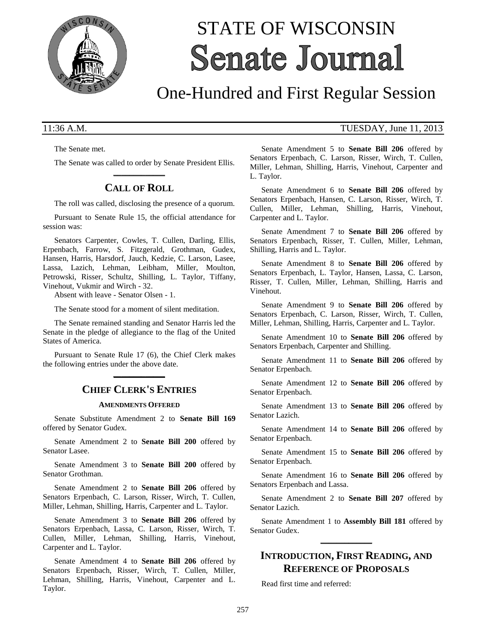

# STATE OF WISCONSIN **Senate Journal**

## One-Hundred and First Regular Session

The Senate met.

The Senate was called to order by Senate President Ellis. **\_\_\_\_\_\_\_\_\_\_\_\_\_**

## **CALL OF ROLL**

The roll was called, disclosing the presence of a quorum.

Pursuant to Senate Rule 15, the official attendance for session was:

Senators Carpenter, Cowles, T. Cullen, Darling, Ellis, Erpenbach, Farrow, S. Fitzgerald, Grothman, Gudex, Hansen, Harris, Harsdorf, Jauch, Kedzie, C. Larson, Lasee, Lassa, Lazich, Lehman, Leibham, Miller, Moulton, Petrowski, Risser, Schultz, Shilling, L. Taylor, Tiffany, Vinehout, Vukmir and Wirch - 32.

Absent with leave - Senator Olsen - 1.

The Senate stood for a moment of silent meditation.

The Senate remained standing and Senator Harris led the Senate in the pledge of allegiance to the flag of the United States of America.

Pursuant to Senate Rule 17 (6), the Chief Clerk makes the following entries under the above date. **\_\_\_\_\_\_\_\_\_\_\_\_\_**

## **CHIEF CLERK'S ENTRIES**

#### **AMENDMENTS OFFERED**

Senate Substitute Amendment 2 to **Senate Bill 169** offered by Senator Gudex.

Senate Amendment 2 to **Senate Bill 200** offered by Senator Lasee.

Senate Amendment 3 to **Senate Bill 200** offered by Senator Grothman.

Senate Amendment 2 to **Senate Bill 206** offered by Senators Erpenbach, C. Larson, Risser, Wirch, T. Cullen, Miller, Lehman, Shilling, Harris, Carpenter and L. Taylor.

Senate Amendment 3 to **Senate Bill 206** offered by Senators Erpenbach, Lassa, C. Larson, Risser, Wirch, T. Cullen, Miller, Lehman, Shilling, Harris, Vinehout, Carpenter and L. Taylor.

Senate Amendment 4 to **Senate Bill 206** offered by Senators Erpenbach, Risser, Wirch, T. Cullen, Miller, Lehman, Shilling, Harris, Vinehout, Carpenter and L. Taylor.

#### 11:36 A.M. TUESDAY, June 11, 2013

Senate Amendment 5 to **Senate Bill 206** offered by Senators Erpenbach, C. Larson, Risser, Wirch, T. Cullen, Miller, Lehman, Shilling, Harris, Vinehout, Carpenter and L. Taylor.

Senate Amendment 6 to **Senate Bill 206** offered by Senators Erpenbach, Hansen, C. Larson, Risser, Wirch, T. Cullen, Miller, Lehman, Shilling, Harris, Vinehout, Carpenter and L. Taylor.

Senate Amendment 7 to **Senate Bill 206** offered by Senators Erpenbach, Risser, T. Cullen, Miller, Lehman, Shilling, Harris and L. Taylor.

Senate Amendment 8 to **Senate Bill 206** offered by Senators Erpenbach, L. Taylor, Hansen, Lassa, C. Larson, Risser, T. Cullen, Miller, Lehman, Shilling, Harris and Vinehout.

Senate Amendment 9 to **Senate Bill 206** offered by Senators Erpenbach, C. Larson, Risser, Wirch, T. Cullen, Miller, Lehman, Shilling, Harris, Carpenter and L. Taylor.

Senate Amendment 10 to **Senate Bill 206** offered by Senators Erpenbach, Carpenter and Shilling.

Senate Amendment 11 to **Senate Bill 206** offered by Senator Erpenbach.

Senate Amendment 12 to **Senate Bill 206** offered by Senator Erpenbach.

Senate Amendment 13 to **Senate Bill 206** offered by Senator Lazich.

Senate Amendment 14 to **Senate Bill 206** offered by Senator Erpenbach.

Senate Amendment 15 to **Senate Bill 206** offered by Senator Erpenbach.

Senate Amendment 16 to **Senate Bill 206** offered by Senators Erpenbach and Lassa.

Senate Amendment 2 to **Senate Bill 207** offered by Senator Lazich.

Senate Amendment 1 to **Assembly Bill 181** offered by Senator Gudex. **\_\_\_\_\_\_\_\_\_\_\_\_\_**

## **INTRODUCTION, FIRST READING, AND REFERENCE OF PROPOSALS**

Read first time and referred: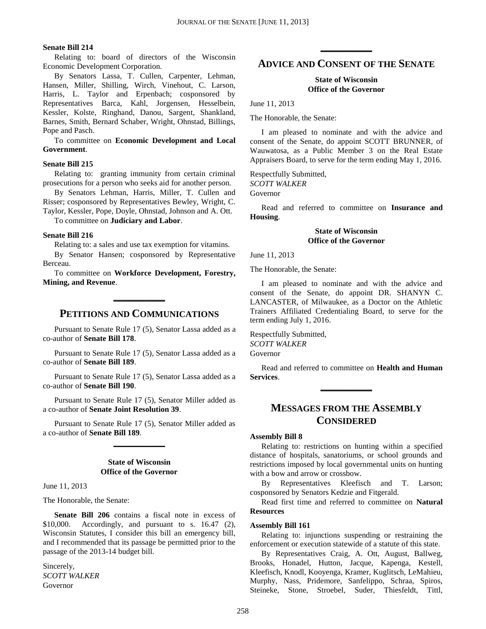#### **Senate Bill 214**

Relating to: board of directors of the Wisconsin Economic Development Corporation.

By Senators Lassa, T. Cullen, Carpenter, Lehman, Hansen, Miller, Shilling, Wirch, Vinehout, C. Larson, Harris, L. Taylor and Erpenbach; cosponsored by Representatives Barca, Kahl, Jorgensen, Hesselbein, Kessler, Kolste, Ringhand, Danou, Sargent, Shankland, Barnes, Smith, Bernard Schaber, Wright, Ohnstad, Billings, Pope and Pasch.

To committee on **Economic Development and Local Government**.

#### **Senate Bill 215**

Relating to: granting immunity from certain criminal prosecutions for a person who seeks aid for another person.

By Senators Lehman, Harris, Miller, T. Cullen and Risser; cosponsored by Representatives Bewley, Wright, C. Taylor, Kessler, Pope, Doyle, Ohnstad, Johnson and A. Ott.

To committee on **Judiciary and Labor**.

#### **Senate Bill 216**

Relating to: a sales and use tax exemption for vitamins.

By Senator Hansen; cosponsored by Representative Berceau.

To committee on **Workforce Development, Forestry, Mining, and Revenue**.

## **PETITIONS AND COMMUNICATIONS**

**\_\_\_\_\_\_\_\_\_\_\_\_\_**

Pursuant to Senate Rule 17 (5), Senator Lassa added as a co-author of **Senate Bill 178**.

Pursuant to Senate Rule 17 (5), Senator Lassa added as a co-author of **Senate Bill 189**.

Pursuant to Senate Rule 17 (5), Senator Lassa added as a co-author of **Senate Bill 190**.

Pursuant to Senate Rule 17 (5), Senator Miller added as a co-author of **Senate Joint Resolution 39**.

Pursuant to Senate Rule 17 (5), Senator Miller added as a co-author of **Senate Bill 189**. **\_\_\_\_\_\_\_\_\_\_\_\_\_**

#### **State of Wisconsin Office of the Governor**

June 11, 2013

The Honorable, the Senate:

**Senate Bill 206** contains a fiscal note in excess of \$10,000. Accordingly, and pursuant to s. 16.47 (2), Wisconsin Statutes, I consider this bill an emergency bill, and I recommended that its passage be permitted prior to the passage of the 2013-14 budget bill.

Sincerely, *SCOTT WALKER* Governor

## **ADVICE AND CONSENT OF THE SENATE**

**\_\_\_\_\_\_\_\_\_\_\_\_\_**

#### **State of Wisconsin Office of the Governor**

June 11, 2013

The Honorable, the Senate:

I am pleased to nominate and with the advice and consent of the Senate, do appoint SCOTT BRUNNER, of Wauwatosa, as a Public Member 3 on the Real Estate Appraisers Board, to serve for the term ending May 1, 2016.

Respectfully Submitted, *SCOTT WALKER* Governor

Read and referred to committee on **Insurance and Housing**.

#### **State of Wisconsin Office of the Governor**

June 11, 2013

The Honorable, the Senate:

I am pleased to nominate and with the advice and consent of the Senate, do appoint DR. SHANYN C. LANCASTER, of Milwaukee, as a Doctor on the Athletic Trainers Affiliated Credentialing Board, to serve for the term ending July 1, 2016.

Respectfully Submitted, *SCOTT WALKER* Governor

Read and referred to committee on **Health and Human Services**. **\_\_\_\_\_\_\_\_\_\_\_\_\_**

## **MESSAGES FROM THE ASSEMBLY CONSIDERED**

#### **Assembly Bill 8**

Relating to: restrictions on hunting within a specified distance of hospitals, sanatoriums, or school grounds and restrictions imposed by local governmental units on hunting with a bow and arrow or crossbow.

By Representatives Kleefisch and T. Larson; cosponsored by Senators Kedzie and Fitgerald.

Read first time and referred to committee on **Natural Resources**

#### **Assembly Bill 161**

Relating to: injunctions suspending or restraining the enforcement or execution statewide of a statute of this state.

By Representatives Craig, A. Ott, August, Ballweg, Brooks, Honadel, Hutton, Jacque, Kapenga, Kestell, Kleefisch, Knodl, Kooyenga, Kramer, Kuglitsch, LeMahieu, Murphy, Nass, Pridemore, Sanfelippo, Schraa, Spiros, Steineke, Stone, Stroebel, Suder, Thiesfeldt, Tittl,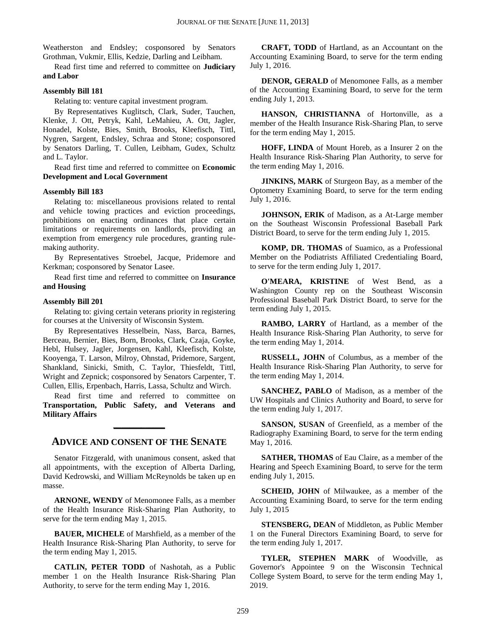Weatherston and Endsley; cosponsored by Senators Grothman, Vukmir, Ellis, Kedzie, Darling and Leibham.

Read first time and referred to committee on **Judiciary and Labor**

#### **Assembly Bill 181**

Relating to: venture capital investment program.

By Representatives Kuglitsch, Clark, Suder, Tauchen, Klenke, J. Ott, Petryk, Kahl, LeMahieu, A. Ott, Jagler, Honadel, Kolste, Bies, Smith, Brooks, Kleefisch, Tittl, Nygren, Sargent, Endsley, Schraa and Stone; cosponsored by Senators Darling, T. Cullen, Leibham, Gudex, Schultz and L. Taylor.

Read first time and referred to committee on **Economic Development and Local Government**

#### **Assembly Bill 183**

Relating to: miscellaneous provisions related to rental and vehicle towing practices and eviction proceedings, prohibitions on enacting ordinances that place certain limitations or requirements on landlords, providing an exemption from emergency rule procedures, granting rulemaking authority.

By Representatives Stroebel, Jacque, Pridemore and Kerkman; cosponsored by Senator Lasee.

Read first time and referred to committee on **Insurance and Housing**

#### **Assembly Bill 201**

Relating to: giving certain veterans priority in registering for courses at the University of Wisconsin System.

By Representatives Hesselbein, Nass, Barca, Barnes, Berceau, Bernier, Bies, Born, Brooks, Clark, Czaja, Goyke, Hebl, Hulsey, Jagler, Jorgensen, Kahl, Kleefisch, Kolste, Kooyenga, T. Larson, Milroy, Ohnstad, Pridemore, Sargent, Shankland, Sinicki, Smith, C. Taylor, Thiesfeldt, Tittl, Wright and Zepnick; cosponsored by Senators Carpenter, T. Cullen, Ellis, Erpenbach, Harris, Lassa, Schultz and Wirch.

Read first time and referred to committee on **Transportation, Public Safety, and Veterans and Military Affairs**

### **ADVICE AND CONSENT OF THE SENATE**

**\_\_\_\_\_\_\_\_\_\_\_\_\_**

Senator Fitzgerald, with unanimous consent, asked that all appointments, with the exception of Alberta Darling, David Kedrowski, and William McReynolds be taken up en masse.

**ARNONE, WENDY** of Menomonee Falls, as a member of the Health Insurance Risk-Sharing Plan Authority, to serve for the term ending May 1, 2015.

**BAUER, MICHELE** of Marshfield, as a member of the Health Insurance Risk-Sharing Plan Authority, to serve for the term ending May 1, 2015.

**CATLIN, PETER TODD** of Nashotah, as a Public member 1 on the Health Insurance Risk-Sharing Plan Authority, to serve for the term ending May 1, 2016.

**CRAFT, TODD** of Hartland, as an Accountant on the Accounting Examining Board, to serve for the term ending July 1, 2016.

**DENOR, GERALD** of Menomonee Falls, as a member of the Accounting Examining Board, to serve for the term ending July 1, 2013.

**HANSON, CHRISTIANNA** of Hortonville, as a member of the Health Insurance Risk-Sharing Plan, to serve for the term ending May 1, 2015.

**HOFF, LINDA** of Mount Horeb, as a Insurer 2 on the Health Insurance Risk-Sharing Plan Authority, to serve for the term ending May 1, 2016.

**JINKINS, MARK** of Sturgeon Bay, as a member of the Optometry Examining Board, to serve for the term ending July 1, 2016.

**JOHNSON, ERIK** of Madison, as a At-Large member on the Southeast Wisconsin Professional Baseball Park District Board, to serve for the term ending July 1, 2015.

**KOMP, DR. THOMAS** of Suamico, as a Professional Member on the Podiatrists Affiliated Credentialing Board, to serve for the term ending July 1, 2017.

**O'MEARA, KRISTINE** of West Bend, as a Washington County rep on the Southeast Wisconsin Professional Baseball Park District Board, to serve for the term ending July 1, 2015.

**RAMBO, LARRY** of Hartland, as a member of the Health Insurance Risk-Sharing Plan Authority, to serve for the term ending May 1, 2014.

**RUSSELL, JOHN** of Columbus, as a member of the Health Insurance Risk-Sharing Plan Authority, to serve for the term ending May 1, 2014.

**SANCHEZ, PABLO** of Madison, as a member of the UW Hospitals and Clinics Authority and Board, to serve for the term ending July 1, 2017.

**SANSON, SUSAN** of Greenfield, as a member of the Radiography Examining Board, to serve for the term ending May 1, 2016.

**SATHER, THOMAS** of Eau Claire, as a member of the Hearing and Speech Examining Board, to serve for the term ending July 1, 2015.

**SCHEID, JOHN** of Milwaukee, as a member of the Accounting Examining Board, to serve for the term ending July 1, 2015

**STENSBERG, DEAN** of Middleton, as Public Member 1 on the Funeral Directors Examining Board, to serve for the term ending July 1, 2017.

**TYLER, STEPHEN MARK** of Woodville, as Governor's Appointee 9 on the Wisconsin Technical College System Board, to serve for the term ending May 1, 2019.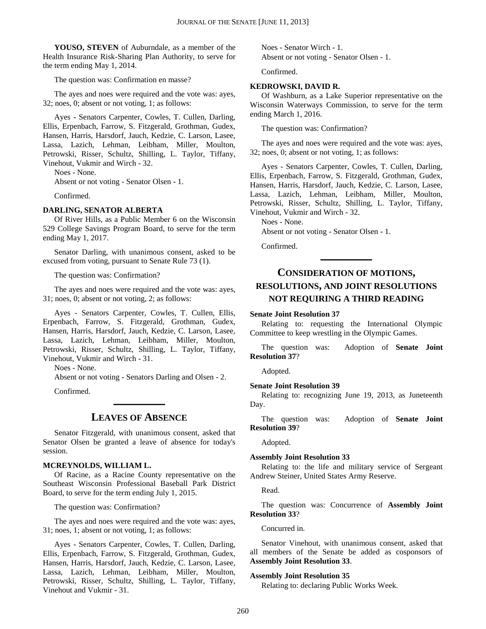**YOUSO, STEVEN** of Auburndale, as a member of the Health Insurance Risk-Sharing Plan Authority, to serve for the term ending May 1, 2014.

The question was: Confirmation en masse?

The ayes and noes were required and the vote was: ayes, 32; noes, 0; absent or not voting, 1; as follows:

Ayes - Senators Carpenter, Cowles, T. Cullen, Darling, Ellis, Erpenbach, Farrow, S. Fitzgerald, Grothman, Gudex, Hansen, Harris, Harsdorf, Jauch, Kedzie, C. Larson, Lasee, Lassa, Lazich, Lehman, Leibham, Miller, Moulton, Petrowski, Risser, Schultz, Shilling, L. Taylor, Tiffany, Vinehout, Vukmir and Wirch - 32.

Noes - None.

Absent or not voting - Senator Olsen - 1.

Confirmed.

#### **DARLING, SENATOR ALBERTA**

Of River Hills, as a Public Member 6 on the Wisconsin 529 College Savings Program Board, to serve for the term ending May 1, 2017.

Senator Darling, with unanimous consent, asked to be excused from voting, pursuant to Senate Rule 73 (1).

The question was: Confirmation?

The ayes and noes were required and the vote was: ayes, 31; noes, 0; absent or not voting, 2; as follows:

Ayes - Senators Carpenter, Cowles, T. Cullen, Ellis, Erpenbach, Farrow, S. Fitzgerald, Grothman, Gudex, Hansen, Harris, Harsdorf, Jauch, Kedzie, C. Larson, Lasee, Lassa, Lazich, Lehman, Leibham, Miller, Moulton, Petrowski, Risser, Schultz, Shilling, L. Taylor, Tiffany, Vinehout, Vukmir and Wirch - 31.

Noes - None.

Absent or not voting - Senators Darling and Olsen - 2.

Confirmed.

#### **LEAVES OF ABSENCE**

**\_\_\_\_\_\_\_\_\_\_\_\_\_**

Senator Fitzgerald, with unanimous consent, asked that Senator Olsen be granted a leave of absence for today's session.

#### **MCREYNOLDS, WILLIAM L.**

Of Racine, as a Racine County representative on the Southeast Wisconsin Professional Baseball Park District Board, to serve for the term ending July 1, 2015.

The question was: Confirmation?

The ayes and noes were required and the vote was: ayes, 31; noes, 1; absent or not voting, 1; as follows:

Ayes - Senators Carpenter, Cowles, T. Cullen, Darling, Ellis, Erpenbach, Farrow, S. Fitzgerald, Grothman, Gudex, Hansen, Harris, Harsdorf, Jauch, Kedzie, C. Larson, Lasee, Lassa, Lazich, Lehman, Leibham, Miller, Moulton, Petrowski, Risser, Schultz, Shilling, L. Taylor, Tiffany, Vinehout and Vukmir - 31.

Noes - Senator Wirch - 1. Absent or not voting - Senator Olsen - 1.

Confirmed.

#### **KEDROWSKI, DAVID R.**

Of Washburn, as a Lake Superior representative on the Wisconsin Waterways Commission, to serve for the term ending March 1, 2016.

The question was: Confirmation?

The ayes and noes were required and the vote was: ayes, 32; noes, 0; absent or not voting, 1; as follows:

Ayes - Senators Carpenter, Cowles, T. Cullen, Darling, Ellis, Erpenbach, Farrow, S. Fitzgerald, Grothman, Gudex, Hansen, Harris, Harsdorf, Jauch, Kedzie, C. Larson, Lasee, Lassa, Lazich, Lehman, Leibham, Miller, Moulton, Petrowski, Risser, Schultz, Shilling, L. Taylor, Tiffany, Vinehout, Vukmir and Wirch - 32.

Noes - None.

Absent or not voting - Senator Olsen - 1.

Confirmed.

## **CONSIDERATION OF MOTIONS, RESOLUTIONS, AND JOINT RESOLUTIONS NOT REQUIRING A THIRD READING**

**\_\_\_\_\_\_\_\_\_\_\_\_\_**

#### **Senate Joint Resolution 37**

Relating to: requesting the International Olympic Committee to keep wrestling in the Olympic Games.

The question was: Adoption of **Senate Joint Resolution 37**?

Adopted.

#### **Senate Joint Resolution 39**

Relating to: recognizing June 19, 2013, as Juneteenth Day.

The question was: Adoption of **Senate Joint Resolution 39**?

Adopted.

#### **Assembly Joint Resolution 33**

Relating to: the life and military service of Sergeant Andrew Steiner, United States Army Reserve.

Read.

The question was: Concurrence of **Assembly Joint Resolution 33**?

Concurred in.

Senator Vinehout, with unanimous consent, asked that all members of the Senate be added as cosponsors of **Assembly Joint Resolution 33**.

#### **Assembly Joint Resolution 35**

Relating to: declaring Public Works Week.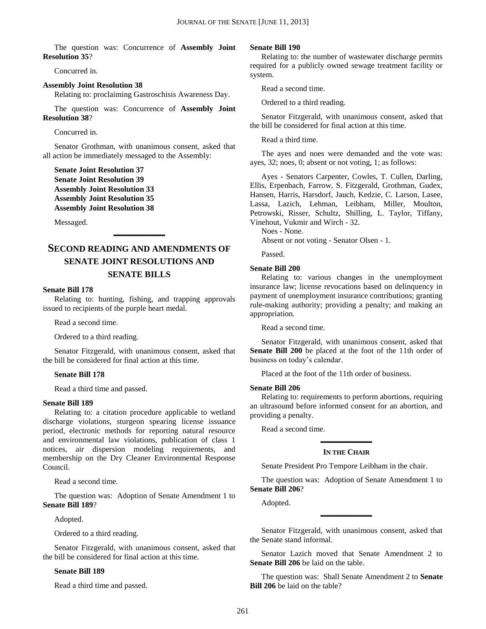The question was: Concurrence of **Assembly Joint Resolution 35**?

Concurred in.

**Assembly Joint Resolution 38**

Relating to: proclaiming Gastroschisis Awareness Day.

The question was: Concurrence of **Assembly Joint Resolution 38**?

Concurred in.

Senator Grothman, with unanimous consent, asked that all action be immediately messaged to the Assembly:

**Senate Joint Resolution 37 Senate Joint Resolution 39 Assembly Joint Resolution 33 Assembly Joint Resolution 35 Assembly Joint Resolution 38**

Messaged.

## **SECOND READING AND AMENDMENTS OF SENATE JOINT RESOLUTIONS AND SENATE BILLS**

**\_\_\_\_\_\_\_\_\_\_\_\_\_**

#### **Senate Bill 178**

Relating to: hunting, fishing, and trapping approvals issued to recipients of the purple heart medal.

Read a second time.

Ordered to a third reading.

Senator Fitzgerald, with unanimous consent, asked that the bill be considered for final action at this time.

#### **Senate Bill 178**

Read a third time and passed.

#### **Senate Bill 189**

Relating to: a citation procedure applicable to wetland discharge violations, sturgeon spearing license issuance period, electronic methods for reporting natural resource and environmental law violations, publication of class 1 notices, air dispersion modeling requirements, and membership on the Dry Cleaner Environmental Response Council.

Read a second time.

The question was: Adoption of Senate Amendment 1 to **Senate Bill 189**?

Adopted.

Ordered to a third reading.

Senator Fitzgerald, with unanimous consent, asked that the bill be considered for final action at this time.

#### **Senate Bill 189**

Read a third time and passed.

#### **Senate Bill 190**

Relating to: the number of wastewater discharge permits required for a publicly owned sewage treatment facility or system.

Read a second time.

Ordered to a third reading.

Senator Fitzgerald, with unanimous consent, asked that the bill be considered for final action at this time.

Read a third time.

The ayes and noes were demanded and the vote was: ayes, 32; noes, 0; absent or not voting, 1; as follows:

Ayes - Senators Carpenter, Cowles, T. Cullen, Darling, Ellis, Erpenbach, Farrow, S. Fitzgerald, Grothman, Gudex, Hansen, Harris, Harsdorf, Jauch, Kedzie, C. Larson, Lasee, Lassa, Lazich, Lehman, Leibham, Miller, Moulton, Petrowski, Risser, Schultz, Shilling, L. Taylor, Tiffany, Vinehout, Vukmir and Wirch - 32.

Noes - None.

Absent or not voting - Senator Olsen - 1.

Passed.

#### **Senate Bill 200**

Relating to: various changes in the unemployment insurance law; license revocations based on delinquency in payment of unemployment insurance contributions; granting rule-making authority; providing a penalty; and making an appropriation.

Read a second time.

Senator Fitzgerald, with unanimous consent, asked that **Senate Bill 200** be placed at the foot of the 11th order of business on today's calendar.

Placed at the foot of the 11th order of business.

#### **Senate Bill 206**

Relating to: requirements to perform abortions, requiring an ultrasound before informed consent for an abortion, and providing a penalty.

Read a second time.

## **\_\_\_\_\_\_\_\_\_\_\_\_\_ IN THE CHAIR**

Senate President Pro Tempore Leibham in the chair.

The question was: Adoption of Senate Amendment 1 to **Senate Bill 206**?

Adopted.

Senator Fitzgerald, with unanimous consent, asked that the Senate stand informal.

**\_\_\_\_\_\_\_\_\_\_\_\_\_**

Senator Lazich moved that Senate Amendment 2 to **Senate Bill 206** be laid on the table.

The question was: Shall Senate Amendment 2 to **Senate Bill 206** be laid on the table?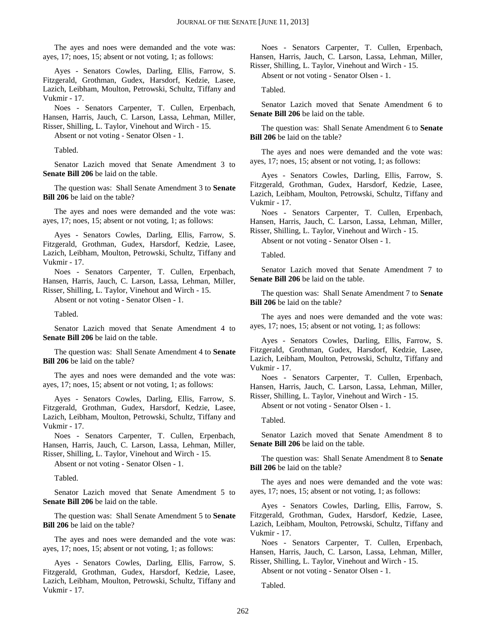The ayes and noes were demanded and the vote was: ayes, 17; noes, 15; absent or not voting, 1; as follows:

Ayes - Senators Cowles, Darling, Ellis, Farrow, S. Fitzgerald, Grothman, Gudex, Harsdorf, Kedzie, Lasee, Lazich, Leibham, Moulton, Petrowski, Schultz, Tiffany and Vukmir - 17.

Noes - Senators Carpenter, T. Cullen, Erpenbach, Hansen, Harris, Jauch, C. Larson, Lassa, Lehman, Miller, Risser, Shilling, L. Taylor, Vinehout and Wirch - 15.

Absent or not voting - Senator Olsen - 1.

Tabled.

Senator Lazich moved that Senate Amendment 3 to **Senate Bill 206** be laid on the table.

The question was: Shall Senate Amendment 3 to **Senate Bill 206** be laid on the table?

The ayes and noes were demanded and the vote was: ayes, 17; noes, 15; absent or not voting, 1; as follows:

Ayes - Senators Cowles, Darling, Ellis, Farrow, S. Fitzgerald, Grothman, Gudex, Harsdorf, Kedzie, Lasee, Lazich, Leibham, Moulton, Petrowski, Schultz, Tiffany and Vukmir - 17.

Noes - Senators Carpenter, T. Cullen, Erpenbach, Hansen, Harris, Jauch, C. Larson, Lassa, Lehman, Miller, Risser, Shilling, L. Taylor, Vinehout and Wirch - 15.

Absent or not voting - Senator Olsen - 1.

Tabled.

Senator Lazich moved that Senate Amendment 4 to **Senate Bill 206** be laid on the table.

The question was: Shall Senate Amendment 4 to **Senate Bill 206** be laid on the table?

The ayes and noes were demanded and the vote was: ayes, 17; noes, 15; absent or not voting, 1; as follows:

Ayes - Senators Cowles, Darling, Ellis, Farrow, S. Fitzgerald, Grothman, Gudex, Harsdorf, Kedzie, Lasee, Lazich, Leibham, Moulton, Petrowski, Schultz, Tiffany and Vukmir - 17.

Noes - Senators Carpenter, T. Cullen, Erpenbach, Hansen, Harris, Jauch, C. Larson, Lassa, Lehman, Miller, Risser, Shilling, L. Taylor, Vinehout and Wirch - 15.

Absent or not voting - Senator Olsen - 1.

Tabled.

Senator Lazich moved that Senate Amendment 5 to **Senate Bill 206** be laid on the table.

The question was: Shall Senate Amendment 5 to **Senate Bill 206** be laid on the table?

The ayes and noes were demanded and the vote was: ayes, 17; noes, 15; absent or not voting, 1; as follows:

Ayes - Senators Cowles, Darling, Ellis, Farrow, S. Fitzgerald, Grothman, Gudex, Harsdorf, Kedzie, Lasee, Lazich, Leibham, Moulton, Petrowski, Schultz, Tiffany and Vukmir - 17.

Noes - Senators Carpenter, T. Cullen, Erpenbach, Hansen, Harris, Jauch, C. Larson, Lassa, Lehman, Miller, Risser, Shilling, L. Taylor, Vinehout and Wirch - 15.

Absent or not voting - Senator Olsen - 1.

Tabled.

Senator Lazich moved that Senate Amendment 6 to **Senate Bill 206** be laid on the table.

The question was: Shall Senate Amendment 6 to **Senate Bill 206** be laid on the table?

The ayes and noes were demanded and the vote was: ayes, 17; noes, 15; absent or not voting, 1; as follows:

Ayes - Senators Cowles, Darling, Ellis, Farrow, S. Fitzgerald, Grothman, Gudex, Harsdorf, Kedzie, Lasee, Lazich, Leibham, Moulton, Petrowski, Schultz, Tiffany and Vukmir - 17.

Noes - Senators Carpenter, T. Cullen, Erpenbach, Hansen, Harris, Jauch, C. Larson, Lassa, Lehman, Miller, Risser, Shilling, L. Taylor, Vinehout and Wirch - 15.

Absent or not voting - Senator Olsen - 1.

Tabled.

Senator Lazich moved that Senate Amendment 7 to **Senate Bill 206** be laid on the table.

The question was: Shall Senate Amendment 7 to **Senate Bill 206** be laid on the table?

The ayes and noes were demanded and the vote was: ayes, 17; noes, 15; absent or not voting, 1; as follows:

Ayes - Senators Cowles, Darling, Ellis, Farrow, S. Fitzgerald, Grothman, Gudex, Harsdorf, Kedzie, Lasee, Lazich, Leibham, Moulton, Petrowski, Schultz, Tiffany and Vukmir - 17.

Noes - Senators Carpenter, T. Cullen, Erpenbach, Hansen, Harris, Jauch, C. Larson, Lassa, Lehman, Miller, Risser, Shilling, L. Taylor, Vinehout and Wirch - 15.

Absent or not voting - Senator Olsen - 1.

Tabled.

Senator Lazich moved that Senate Amendment 8 to **Senate Bill 206** be laid on the table.

The question was: Shall Senate Amendment 8 to **Senate Bill 206** be laid on the table?

The ayes and noes were demanded and the vote was: ayes, 17; noes, 15; absent or not voting, 1; as follows:

Ayes - Senators Cowles, Darling, Ellis, Farrow, S. Fitzgerald, Grothman, Gudex, Harsdorf, Kedzie, Lasee, Lazich, Leibham, Moulton, Petrowski, Schultz, Tiffany and Vukmir - 17.

Noes - Senators Carpenter, T. Cullen, Erpenbach, Hansen, Harris, Jauch, C. Larson, Lassa, Lehman, Miller,

Risser, Shilling, L. Taylor, Vinehout and Wirch - 15. Absent or not voting - Senator Olsen - 1.

Tabled.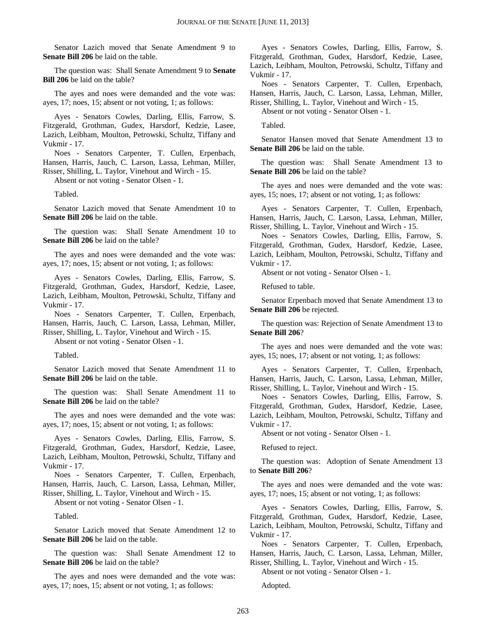Senator Lazich moved that Senate Amendment 9 to **Senate Bill 206** be laid on the table.

The question was: Shall Senate Amendment 9 to **Senate Bill 206** be laid on the table?

The ayes and noes were demanded and the vote was: ayes, 17; noes, 15; absent or not voting, 1; as follows:

Ayes - Senators Cowles, Darling, Ellis, Farrow, S. Fitzgerald, Grothman, Gudex, Harsdorf, Kedzie, Lasee, Lazich, Leibham, Moulton, Petrowski, Schultz, Tiffany and Vukmir - 17.

Noes - Senators Carpenter, T. Cullen, Erpenbach, Hansen, Harris, Jauch, C. Larson, Lassa, Lehman, Miller, Risser, Shilling, L. Taylor, Vinehout and Wirch - 15.

Absent or not voting - Senator Olsen - 1.

Tabled.

Senator Lazich moved that Senate Amendment 10 to **Senate Bill 206** be laid on the table.

The question was: Shall Senate Amendment 10 to **Senate Bill 206** be laid on the table?

The ayes and noes were demanded and the vote was: ayes, 17; noes, 15; absent or not voting, 1; as follows:

Ayes - Senators Cowles, Darling, Ellis, Farrow, S. Fitzgerald, Grothman, Gudex, Harsdorf, Kedzie, Lasee, Lazich, Leibham, Moulton, Petrowski, Schultz, Tiffany and Vukmir - 17.

Noes - Senators Carpenter, T. Cullen, Erpenbach, Hansen, Harris, Jauch, C. Larson, Lassa, Lehman, Miller, Risser, Shilling, L. Taylor, Vinehout and Wirch - 15.

Absent or not voting - Senator Olsen - 1.

Tabled.

Senator Lazich moved that Senate Amendment 11 to **Senate Bill 206** be laid on the table.

The question was: Shall Senate Amendment 11 to **Senate Bill 206** be laid on the table?

The ayes and noes were demanded and the vote was: ayes, 17; noes, 15; absent or not voting, 1; as follows:

Ayes - Senators Cowles, Darling, Ellis, Farrow, S. Fitzgerald, Grothman, Gudex, Harsdorf, Kedzie, Lasee, Lazich, Leibham, Moulton, Petrowski, Schultz, Tiffany and Vukmir - 17.

Noes - Senators Carpenter, T. Cullen, Erpenbach, Hansen, Harris, Jauch, C. Larson, Lassa, Lehman, Miller, Risser, Shilling, L. Taylor, Vinehout and Wirch - 15.

Absent or not voting - Senator Olsen - 1.

Tabled.

Senator Lazich moved that Senate Amendment 12 to **Senate Bill 206** be laid on the table.

The question was: Shall Senate Amendment 12 to **Senate Bill 206** be laid on the table?

The ayes and noes were demanded and the vote was: ayes, 17; noes, 15; absent or not voting, 1; as follows:

Ayes - Senators Cowles, Darling, Ellis, Farrow, S. Fitzgerald, Grothman, Gudex, Harsdorf, Kedzie, Lasee, Lazich, Leibham, Moulton, Petrowski, Schultz, Tiffany and Vukmir - 17.

Noes - Senators Carpenter, T. Cullen, Erpenbach, Hansen, Harris, Jauch, C. Larson, Lassa, Lehman, Miller,

Risser, Shilling, L. Taylor, Vinehout and Wirch - 15. Absent or not voting - Senator Olsen - 1.

Tabled.

Senator Hansen moved that Senate Amendment 13 to **Senate Bill 206** be laid on the table.

The question was: Shall Senate Amendment 13 to **Senate Bill 206** be laid on the table?

The ayes and noes were demanded and the vote was: ayes, 15; noes, 17; absent or not voting, 1; as follows:

Ayes - Senators Carpenter, T. Cullen, Erpenbach, Hansen, Harris, Jauch, C. Larson, Lassa, Lehman, Miller, Risser, Shilling, L. Taylor, Vinehout and Wirch - 15.

Noes - Senators Cowles, Darling, Ellis, Farrow, S. Fitzgerald, Grothman, Gudex, Harsdorf, Kedzie, Lasee, Lazich, Leibham, Moulton, Petrowski, Schultz, Tiffany and Vukmir - 17.

Absent or not voting - Senator Olsen - 1.

Refused to table.

Senator Erpenbach moved that Senate Amendment 13 to **Senate Bill 206** be rejected.

The question was: Rejection of Senate Amendment 13 to **Senate Bill 206**?

The ayes and noes were demanded and the vote was: ayes, 15; noes, 17; absent or not voting, 1; as follows:

Ayes - Senators Carpenter, T. Cullen, Erpenbach, Hansen, Harris, Jauch, C. Larson, Lassa, Lehman, Miller, Risser, Shilling, L. Taylor, Vinehout and Wirch - 15.

Noes - Senators Cowles, Darling, Ellis, Farrow, S. Fitzgerald, Grothman, Gudex, Harsdorf, Kedzie, Lasee, Lazich, Leibham, Moulton, Petrowski, Schultz, Tiffany and Vukmir - 17.

Absent or not voting - Senator Olsen - 1.

Refused to reject.

The question was: Adoption of Senate Amendment 13 to **Senate Bill 206**?

The ayes and noes were demanded and the vote was: ayes, 17; noes, 15; absent or not voting, 1; as follows:

Ayes - Senators Cowles, Darling, Ellis, Farrow, S. Fitzgerald, Grothman, Gudex, Harsdorf, Kedzie, Lasee, Lazich, Leibham, Moulton, Petrowski, Schultz, Tiffany and Vukmir - 17.

Noes - Senators Carpenter, T. Cullen, Erpenbach, Hansen, Harris, Jauch, C. Larson, Lassa, Lehman, Miller,

Risser, Shilling, L. Taylor, Vinehout and Wirch - 15. Absent or not voting - Senator Olsen - 1.

Adopted.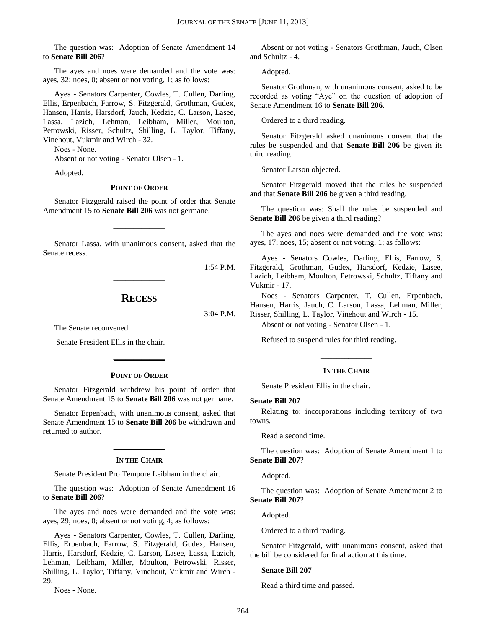The question was: Adoption of Senate Amendment 14 to **Senate Bill 206**?

The ayes and noes were demanded and the vote was: ayes, 32; noes, 0; absent or not voting, 1; as follows:

Ayes - Senators Carpenter, Cowles, T. Cullen, Darling, Ellis, Erpenbach, Farrow, S. Fitzgerald, Grothman, Gudex, Hansen, Harris, Harsdorf, Jauch, Kedzie, C. Larson, Lasee, Lassa, Lazich, Lehman, Leibham, Miller, Moulton, Petrowski, Risser, Schultz, Shilling, L. Taylor, Tiffany, Vinehout, Vukmir and Wirch - 32.

Noes - None.

Absent or not voting - Senator Olsen - 1.

Adopted.

#### **POINT OF ORDER**

Senator Fitzgerald raised the point of order that Senate Amendment 15 to **Senate Bill 206** was not germane.

**\_\_\_\_\_\_\_\_\_\_\_\_\_**

Senator Lassa, with unanimous consent, asked that the Senate recess.

1:54 P.M.

### **RECESS**

**\_\_\_\_\_\_\_\_\_\_\_\_\_**

3:04 P.M.

The Senate reconvened.

Senate President Ellis in the chair.

#### **POINT OF ORDER**

**\_\_\_\_\_\_\_\_\_\_\_\_\_**

Senator Fitzgerald withdrew his point of order that Senate Amendment 15 to **Senate Bill 206** was not germane.

Senator Erpenbach, with unanimous consent, asked that Senate Amendment 15 to **Senate Bill 206** be withdrawn and returned to author.

## **\_\_\_\_\_\_\_\_\_\_\_\_\_ IN THE CHAIR**

Senate President Pro Tempore Leibham in the chair.

The question was: Adoption of Senate Amendment 16 to **Senate Bill 206**?

The ayes and noes were demanded and the vote was: ayes, 29; noes, 0; absent or not voting, 4; as follows:

Ayes - Senators Carpenter, Cowles, T. Cullen, Darling, Ellis, Erpenbach, Farrow, S. Fitzgerald, Gudex, Hansen, Harris, Harsdorf, Kedzie, C. Larson, Lasee, Lassa, Lazich, Lehman, Leibham, Miller, Moulton, Petrowski, Risser, Shilling, L. Taylor, Tiffany, Vinehout, Vukmir and Wirch - 29.

Noes - None.

Absent or not voting - Senators Grothman, Jauch, Olsen and Schultz - 4.

Adopted.

Senator Grothman, with unanimous consent, asked to be recorded as voting "Aye" on the question of adoption of Senate Amendment 16 to **Senate Bill 206**.

Ordered to a third reading.

Senator Fitzgerald asked unanimous consent that the rules be suspended and that **Senate Bill 206** be given its third reading

Senator Larson objected.

Senator Fitzgerald moved that the rules be suspended and that **Senate Bill 206** be given a third reading.

The question was: Shall the rules be suspended and **Senate Bill 206** be given a third reading?

The ayes and noes were demanded and the vote was: ayes, 17; noes, 15; absent or not voting, 1; as follows:

Ayes - Senators Cowles, Darling, Ellis, Farrow, S. Fitzgerald, Grothman, Gudex, Harsdorf, Kedzie, Lasee, Lazich, Leibham, Moulton, Petrowski, Schultz, Tiffany and Vukmir - 17.

Noes - Senators Carpenter, T. Cullen, Erpenbach, Hansen, Harris, Jauch, C. Larson, Lassa, Lehman, Miller, Risser, Shilling, L. Taylor, Vinehout and Wirch - 15.

Absent or not voting - Senator Olsen - 1.

Refused to suspend rules for third reading.

## **\_\_\_\_\_\_\_\_\_\_\_\_\_ IN THE CHAIR**

Senate President Ellis in the chair.

#### **Senate Bill 207**

Relating to: incorporations including territory of two towns.

Read a second time.

The question was: Adoption of Senate Amendment 1 to **Senate Bill 207**?

Adopted.

The question was: Adoption of Senate Amendment 2 to **Senate Bill 207**?

Adopted.

Ordered to a third reading.

Senator Fitzgerald, with unanimous consent, asked that the bill be considered for final action at this time.

#### **Senate Bill 207**

Read a third time and passed.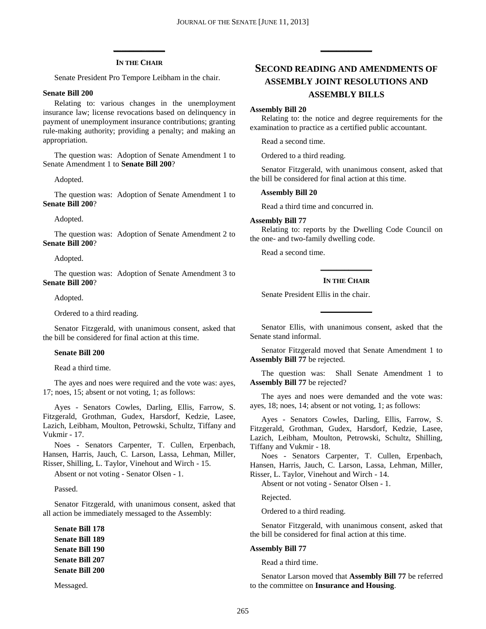## **\_\_\_\_\_\_\_\_\_\_\_\_\_ IN THE CHAIR**

Senate President Pro Tempore Leibham in the chair.

#### **Senate Bill 200**

Relating to: various changes in the unemployment insurance law; license revocations based on delinquency in payment of unemployment insurance contributions; granting rule-making authority; providing a penalty; and making an appropriation.

The question was: Adoption of Senate Amendment 1 to Senate Amendment 1 to **Senate Bill 200**?

Adopted.

The question was: Adoption of Senate Amendment 1 to **Senate Bill 200**?

Adopted.

The question was: Adoption of Senate Amendment 2 to **Senate Bill 200**?

Adopted.

The question was: Adoption of Senate Amendment 3 to **Senate Bill 200**?

Adopted.

Ordered to a third reading.

Senator Fitzgerald, with unanimous consent, asked that the bill be considered for final action at this time.

#### **Senate Bill 200**

Read a third time.

The ayes and noes were required and the vote was: ayes, 17; noes, 15; absent or not voting, 1; as follows:

Ayes - Senators Cowles, Darling, Ellis, Farrow, S. Fitzgerald, Grothman, Gudex, Harsdorf, Kedzie, Lasee, Lazich, Leibham, Moulton, Petrowski, Schultz, Tiffany and Vukmir - 17.

Noes - Senators Carpenter, T. Cullen, Erpenbach, Hansen, Harris, Jauch, C. Larson, Lassa, Lehman, Miller, Risser, Shilling, L. Taylor, Vinehout and Wirch - 15.

Absent or not voting - Senator Olsen - 1.

Passed.

Senator Fitzgerald, with unanimous consent, asked that all action be immediately messaged to the Assembly:

**Senate Bill 178 Senate Bill 189 Senate Bill 190 Senate Bill 207 Senate Bill 200**

Messaged.

## **SECOND READING AND AMENDMENTS OF ASSEMBLY JOINT RESOLUTIONS AND ASSEMBLY BILLS**

**\_\_\_\_\_\_\_\_\_\_\_\_\_**

#### **Assembly Bill 20**

Relating to: the notice and degree requirements for the examination to practice as a certified public accountant.

Read a second time.

Ordered to a third reading.

Senator Fitzgerald, with unanimous consent, asked that the bill be considered for final action at this time.

#### **Assembly Bill 20**

Read a third time and concurred in.

#### **Assembly Bill 77**

Relating to: reports by the Dwelling Code Council on the one- and two-family dwelling code.

Read a second time.

## **\_\_\_\_\_\_\_\_\_\_\_\_\_ IN THE CHAIR**

Senate President Ellis in the chair.

Senator Ellis, with unanimous consent, asked that the Senate stand informal.

**\_\_\_\_\_\_\_\_\_\_\_\_\_**

Senator Fitzgerald moved that Senate Amendment 1 to **Assembly Bill 77** be rejected.

The question was: Shall Senate Amendment 1 to **Assembly Bill 77** be rejected?

The ayes and noes were demanded and the vote was: ayes, 18; noes, 14; absent or not voting, 1; as follows:

Ayes - Senators Cowles, Darling, Ellis, Farrow, S. Fitzgerald, Grothman, Gudex, Harsdorf, Kedzie, Lasee, Lazich, Leibham, Moulton, Petrowski, Schultz, Shilling, Tiffany and Vukmir - 18.

Noes - Senators Carpenter, T. Cullen, Erpenbach, Hansen, Harris, Jauch, C. Larson, Lassa, Lehman, Miller, Risser, L. Taylor, Vinehout and Wirch - 14.

Absent or not voting - Senator Olsen - 1.

Rejected.

Ordered to a third reading.

Senator Fitzgerald, with unanimous consent, asked that the bill be considered for final action at this time.

#### **Assembly Bill 77**

Read a third time.

Senator Larson moved that **Assembly Bill 77** be referred to the committee on **Insurance and Housing**.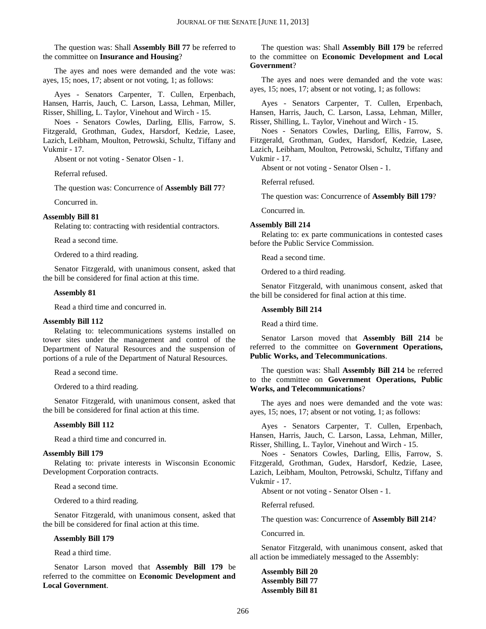The question was: Shall **Assembly Bill 77** be referred to the committee on **Insurance and Housing**?

The ayes and noes were demanded and the vote was: ayes, 15; noes, 17; absent or not voting, 1; as follows:

Ayes - Senators Carpenter, T. Cullen, Erpenbach, Hansen, Harris, Jauch, C. Larson, Lassa, Lehman, Miller, Risser, Shilling, L. Taylor, Vinehout and Wirch - 15.

Noes - Senators Cowles, Darling, Ellis, Farrow, S. Fitzgerald, Grothman, Gudex, Harsdorf, Kedzie, Lasee, Lazich, Leibham, Moulton, Petrowski, Schultz, Tiffany and Vukmir - 17.

Absent or not voting - Senator Olsen - 1.

Referral refused.

The question was: Concurrence of **Assembly Bill 77**?

Concurred in.

#### **Assembly Bill 81**

Relating to: contracting with residential contractors.

Read a second time.

Ordered to a third reading.

Senator Fitzgerald, with unanimous consent, asked that the bill be considered for final action at this time.

#### **Assembly 81**

Read a third time and concurred in.

#### **Assembly Bill 112**

Relating to: telecommunications systems installed on tower sites under the management and control of the Department of Natural Resources and the suspension of portions of a rule of the Department of Natural Resources.

Read a second time.

Ordered to a third reading.

Senator Fitzgerald, with unanimous consent, asked that the bill be considered for final action at this time.

#### **Assembly Bill 112**

Read a third time and concurred in.

#### **Assembly Bill 179**

Relating to: private interests in Wisconsin Economic Development Corporation contracts.

Read a second time.

Ordered to a third reading.

Senator Fitzgerald, with unanimous consent, asked that the bill be considered for final action at this time.

#### **Assembly Bill 179**

Read a third time.

Senator Larson moved that **Assembly Bill 179** be referred to the committee on **Economic Development and Local Government**.

#### The question was: Shall **Assembly Bill 179** be referred to the committee on **Economic Development and Local Government**?

The ayes and noes were demanded and the vote was: ayes, 15; noes, 17; absent or not voting, 1; as follows:

Ayes - Senators Carpenter, T. Cullen, Erpenbach, Hansen, Harris, Jauch, C. Larson, Lassa, Lehman, Miller, Risser, Shilling, L. Taylor, Vinehout and Wirch - 15.

Noes - Senators Cowles, Darling, Ellis, Farrow, S. Fitzgerald, Grothman, Gudex, Harsdorf, Kedzie, Lasee, Lazich, Leibham, Moulton, Petrowski, Schultz, Tiffany and Vukmir - 17.

Absent or not voting - Senator Olsen - 1.

Referral refused.

The question was: Concurrence of **Assembly Bill 179**?

Concurred in.

#### **Assembly Bill 214**

Relating to: ex parte communications in contested cases before the Public Service Commission.

Read a second time.

Ordered to a third reading.

Senator Fitzgerald, with unanimous consent, asked that the bill be considered for final action at this time.

#### **Assembly Bill 214**

Read a third time.

Senator Larson moved that **Assembly Bill 214** be referred to the committee on **Government Operations, Public Works, and Telecommunications**.

The question was: Shall **Assembly Bill 214** be referred to the committee on **Government Operations, Public Works, and Telecommunications**?

The ayes and noes were demanded and the vote was: ayes, 15; noes, 17; absent or not voting, 1; as follows:

Ayes - Senators Carpenter, T. Cullen, Erpenbach, Hansen, Harris, Jauch, C. Larson, Lassa, Lehman, Miller, Risser, Shilling, L. Taylor, Vinehout and Wirch - 15.

Noes - Senators Cowles, Darling, Ellis, Farrow, S. Fitzgerald, Grothman, Gudex, Harsdorf, Kedzie, Lasee, Lazich, Leibham, Moulton, Petrowski, Schultz, Tiffany and Vukmir - 17.

Absent or not voting - Senator Olsen - 1.

Referral refused.

The question was: Concurrence of **Assembly Bill 214**?

Concurred in.

Senator Fitzgerald, with unanimous consent, asked that all action be immediately messaged to the Assembly:

**Assembly Bill 20 Assembly Bill 77 Assembly Bill 81**